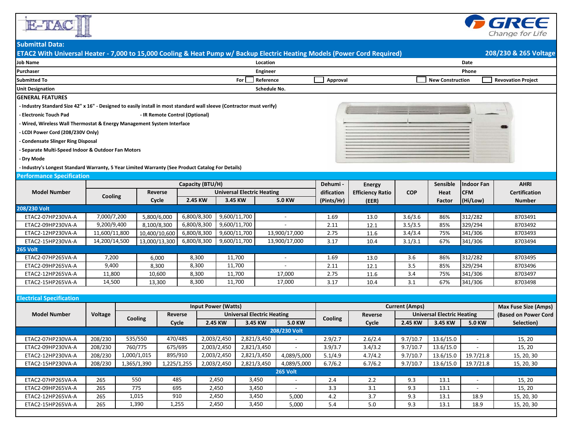



## **Submittal Data:**

| ETAC2 With Universal Heater - 7,000 to 15,000 Cooling & Heat Pump w/Backup Electric Heating Models (Power Cord Required) |                |                |                                |                        |                                   |                                   |                          |                 |                |                         |                                   |                         | 208/230 & 265 Voltage       |                           |  |
|--------------------------------------------------------------------------------------------------------------------------|----------------|----------------|--------------------------------|------------------------|-----------------------------------|-----------------------------------|--------------------------|-----------------|----------------|-------------------------|-----------------------------------|-------------------------|-----------------------------|---------------------------|--|
| <b>Job Name</b><br>Location                                                                                              |                |                |                                |                        |                                   |                                   |                          |                 |                |                         |                                   | Date                    |                             |                           |  |
| Purchaser                                                                                                                |                |                |                                |                        |                                   |                                   | <b>Engineer</b>          |                 |                |                         |                                   |                         | Phone                       |                           |  |
| <b>Submitted To</b>                                                                                                      |                |                |                                |                        | Reference<br>For                  |                                   |                          |                 | Approval       |                         |                                   | <b>New Construction</b> |                             | <b>Revovation Project</b> |  |
| <b>Unit Designation</b>                                                                                                  |                |                |                                |                        |                                   |                                   | <b>Schedule No.</b>      |                 |                |                         |                                   |                         |                             |                           |  |
| <b>GENERAL FEATURES</b>                                                                                                  |                |                |                                |                        |                                   |                                   |                          |                 |                |                         |                                   |                         |                             |                           |  |
| - Industry Standard Size 42" x 16" - Designed to easily install in most standard wall sleeve (Contractor must verify)    |                |                |                                |                        |                                   |                                   |                          |                 |                |                         |                                   |                         |                             |                           |  |
| - Electronic Touch Pad                                                                                                   |                |                | - IR Remote Control (Optional) |                        |                                   |                                   |                          |                 |                |                         |                                   |                         |                             |                           |  |
| - Wired, Wireless Wall Thermostat & Energy Management System Interface                                                   |                |                |                                |                        |                                   |                                   |                          |                 |                |                         |                                   |                         |                             |                           |  |
| - LCDI Power Cord (208/230V Only)                                                                                        |                |                |                                |                        |                                   |                                   |                          |                 |                |                         |                                   |                         |                             |                           |  |
| - Condensate Slinger Ring Disposal                                                                                       |                |                |                                |                        |                                   |                                   |                          |                 |                |                         |                                   |                         |                             |                           |  |
| - Separate Multi-Speed Indoor & Outdoor Fan Motors                                                                       |                |                |                                |                        |                                   |                                   |                          |                 |                |                         |                                   |                         |                             |                           |  |
| - Dry Mode                                                                                                               |                |                |                                |                        |                                   |                                   |                          |                 |                |                         |                                   |                         |                             |                           |  |
| - Industry's Longest Standard Warranty, 5 Year Limited Warranty (See Product Catalog For Details)                        |                |                |                                |                        |                                   |                                   |                          |                 |                |                         |                                   |                         |                             |                           |  |
| <b>Performance Specification</b>                                                                                         |                |                |                                |                        |                                   |                                   |                          |                 |                |                         |                                   |                         |                             |                           |  |
| <b>Model Number</b>                                                                                                      |                |                |                                |                        | Capacity (BTU/H)                  |                                   |                          |                 | Dehumi -       | <b>Energy</b>           |                                   | Sensible                | Indoor Fan                  | <b>AHRI</b>               |  |
|                                                                                                                          |                |                | <b>Reverse</b>                 |                        | <b>Universal Electric Heating</b> |                                   |                          |                 |                | <b>Efficiency Ratio</b> | <b>COP</b>                        | Heat                    | <b>CFM</b>                  | <b>Certification</b>      |  |
|                                                                                                                          | Cooling        |                | Cycle                          |                        | 2.45 KW<br>3.45 KW                |                                   |                          | <b>5.0 KW</b>   | (Pints/Hr)     | (EER)                   |                                   | Factor                  | (Hi/Low)                    | <b>Number</b>             |  |
| 208/230 Volt                                                                                                             |                |                |                                |                        |                                   |                                   |                          |                 |                |                         |                                   |                         |                             |                           |  |
| ETAC2-07HP230VA-A                                                                                                        | 7,000/7,200    |                | 5,800/6,000                    | 6,800/8,300            |                                   | 9,600/11,700                      |                          |                 | 1.69           | 13.0                    | 3.6/3.6                           | 86%                     | 312/282                     | 8703491                   |  |
| ETAC2-09HP230VA-A                                                                                                        | 9,200/9,400    |                | 8,100/8,300                    | 6,800/8,300            |                                   | 9,600/11,700                      |                          |                 | 2.11           | 12.1                    | 3.5/3.5                           | 85%                     | 329/294                     | 8703492                   |  |
| ETAC2-12HP230VA-A                                                                                                        | 11,600/11,800  |                | 10,400/10,600                  |                        | 6,800/8,300                       | 9,600/11,700                      |                          | 13,900/17,000   | 2.75<br>3.17   | 11.6                    | 3.4/3.4                           | 75%                     | 341/306                     | 8703493                   |  |
| ETAC2-15HP230VA-A                                                                                                        | 14,200/14,500  |                | 13,000/13,300                  |                        | 6,800/8,300                       | 9,600/11,700                      |                          | 13,900/17,000   |                | 10.4                    | 3.1/3.1                           | 67%                     | 341/306                     | 8703494                   |  |
| <b>265 Volt</b>                                                                                                          |                |                |                                |                        |                                   |                                   |                          |                 |                |                         |                                   |                         |                             |                           |  |
| ETAC2-07HP265VA-A                                                                                                        | 7,200          |                | 6,000                          |                        | 8,300                             | 11,700                            | $\overline{\phantom{a}}$ |                 | 1.69           | 13.0                    | 3.6                               | 86%                     | 312/282                     | 8703495                   |  |
| ETAC2-09HP265VA-A                                                                                                        | 9,400          |                | 8,300                          | 8,300                  |                                   | 11,700<br>11,700                  |                          |                 | 2.11           | 12.1                    | 3.5                               | 85%                     | 329/294                     | 8703496                   |  |
| ETAC2-12HP265VA-A                                                                                                        | 11,800         |                | 10,600                         |                        | 8,300<br>8,300                    |                                   | 17,000                   |                 | 2.75<br>3.17   | 11.6                    | 3.4                               | 75%                     | 341/306                     | 8703497                   |  |
| ETAC2-15HP265VA-A                                                                                                        |                | 14,500         |                                | 13,300                 |                                   | 11,700                            |                          | 17,000          |                | 10.4                    | 3.1                               | 67%                     | 341/306                     | 8703498                   |  |
| <b>Electrical Specification</b>                                                                                          |                |                |                                |                        |                                   |                                   |                          |                 |                |                         |                                   |                         |                             |                           |  |
| <b>Input Power (Watts)</b>                                                                                               |                |                |                                |                        |                                   |                                   |                          |                 |                | <b>Current (Amps)</b>   |                                   |                         | <b>Max Fuse Size (Amps)</b> |                           |  |
| <b>Model Number</b>                                                                                                      | <b>Voltage</b> |                |                                | Reverse                |                                   | <b>Universal Electric Heating</b> |                          |                 |                | Reverse                 | <b>Universal Electric Heating</b> |                         |                             | (Based on Power Cord      |  |
|                                                                                                                          |                | <b>Cooling</b> |                                | Cycle                  | 2.45 KW                           |                                   | 3.45 KW                  | 5.0 KW          | <b>Cooling</b> | Cycle                   |                                   | 2.45 KW 3.45 KW         | <b>5.0 KW</b>               | Selection)                |  |
|                                                                                                                          |                |                |                                |                        |                                   |                                   |                          | 208/230 Volt    |                |                         |                                   |                         |                             |                           |  |
| ETAC2-07HP230VA-A                                                                                                        | 208/230        | 535/550        |                                | 2,003/2,450<br>470/485 |                                   |                                   | 2,821/3,450              |                 | 2.9/2.7        | 2.6/2.4                 | 9.7/10.7                          | 13.6/15.0               |                             | 15, 20                    |  |
| ETAC2-09HP230VA-A                                                                                                        | 208/230        | 760/775        |                                | 675/695                |                                   | 2,003/2,450<br>2,821/3,450        |                          |                 | 3.9/3.7        | 3.4/3.2                 | 9.7/10.7                          | 13.6/15.0               |                             | 15, 20                    |  |
| ETAC2-12HP230VA-A                                                                                                        | 208/230        | 1,000/1,015    |                                | 895/910                | 2,003/2,450                       |                                   | 2,821/3,450              | 4,089/5,000     | 5.1/4.9        | 4.7/4.2                 | 9.7/10.7                          | 13.6/15.0               | 19.7/21.8                   | 15, 20, 30                |  |
| ETAC2-15HP230VA-A                                                                                                        | 208/230        |                | 1,365/1,390<br>1,225/1,255     |                        | 2,003/2,450                       |                                   | 2,821/3,450              | 4,089/5,000     | 6.7/6.2        | 6.7/6.2                 | 9.7/10.7                          | 13.6/15.0               | 19.7/21.8                   | 15, 20, 30                |  |
|                                                                                                                          |                |                |                                |                        |                                   |                                   |                          | <b>265 Volt</b> |                |                         |                                   |                         |                             |                           |  |
| ETAC2-07HP265VA-A                                                                                                        | 265            |                | 550<br>485<br>695              |                        | 2,450                             |                                   | 3,450                    |                 | 2.4            | 2.2                     | 9.3                               | 13.1                    |                             | 15, 20                    |  |
| ETAC2-09HP265VA-A                                                                                                        | 265            |                | 775                            |                        | 2,450                             |                                   | 3,450                    | $\sim$          | 3.3            | 3.1                     | 9.3                               | 13.1                    | $-$                         | 15, 20                    |  |
| ETAC2-12HP265VA-A                                                                                                        | 265            |                | 1,015<br>910                   |                        | 2,450                             |                                   | 3,450                    | 5,000           | 4.2            | 3.7                     | 9.3                               | 13.1                    | 18.9                        | 15, 20, 30                |  |
| ETAC2-15HP265VA-A                                                                                                        | 265            |                | 1,390                          |                        | 1,255<br>2,450                    |                                   | 3,450                    | 5,000           | 5.4            | 5.0                     | 9.3                               | 13.1                    | 18.9                        | 15, 20, 30                |  |